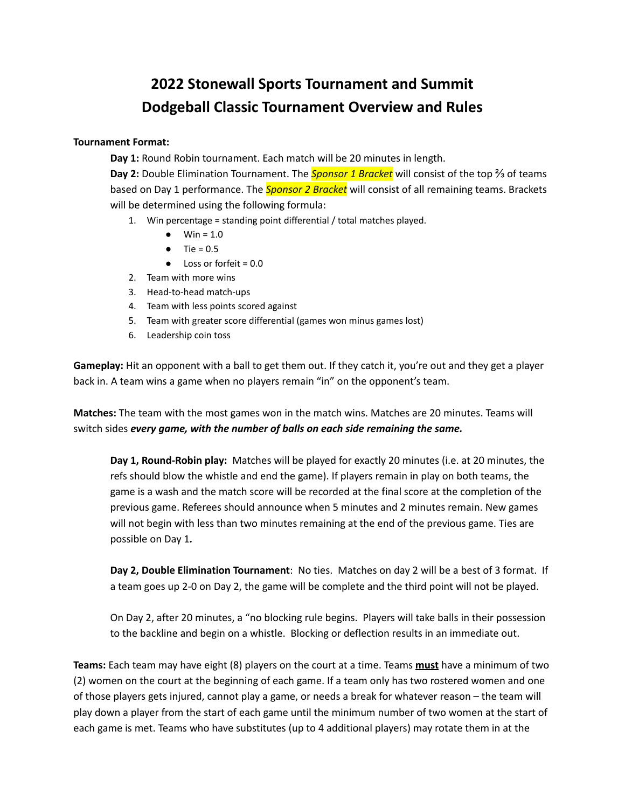## **2022 Stonewall Sports Tournament and Summit Dodgeball Classic Tournament Overview and Rules**

## **Tournament Format:**

**Day 1:** Round Robin tournament. Each match will be 20 minutes in length.

**Day 2:** Double Elimination Tournament. The *Sponsor 1 Bracket* will consist of the top ⅔ of teams based on Day 1 performance. The *Sponsor 2 Bracket* will consist of all remaining teams. Brackets will be determined using the following formula:

- 1. Win percentage = standing point differential / total matches played.
	- Win =  $1.0$
	- $\bullet$  Tie = 0.5
	- $\bullet$  Loss or forfeit = 0.0
- 2. Team with more wins
- 3. Head-to-head match-ups
- 4. Team with less points scored against
- 5. Team with greater score differential (games won minus games lost)
- 6. Leadership coin toss

**Gameplay:** Hit an opponent with a ball to get them out. If they catch it, you're out and they get a player back in. A team wins a game when no players remain "in" on the opponent's team.

**Matches:** The team with the most games won in the match wins. Matches are 20 minutes. Teams will switch sides *every game, with the number of balls on each side remaining the same.*

**Day 1, Round-Robin play:** Matches will be played for exactly 20 minutes (i.e. at 20 minutes, the refs should blow the whistle and end the game). If players remain in play on both teams, the game is a wash and the match score will be recorded at the final score at the completion of the previous game. Referees should announce when 5 minutes and 2 minutes remain. New games will not begin with less than two minutes remaining at the end of the previous game. Ties are possible on Day 1*.*

**Day 2, Double Elimination Tournament**: No ties. Matches on day 2 will be a best of 3 format. If a team goes up 2-0 on Day 2, the game will be complete and the third point will not be played.

On Day 2, after 20 minutes, a "no blocking rule begins. Players will take balls in their possession to the backline and begin on a whistle. Blocking or deflection results in an immediate out.

**Teams:** Each team may have eight (8) players on the court at a time. Teams **must** have a minimum of two (2) women on the court at the beginning of each game. If a team only has two rostered women and one of those players gets injured, cannot play a game, or needs a break for whatever reason – the team will play down a player from the start of each game until the minimum number of two women at the start of each game is met. Teams who have substitutes (up to 4 additional players) may rotate them in at the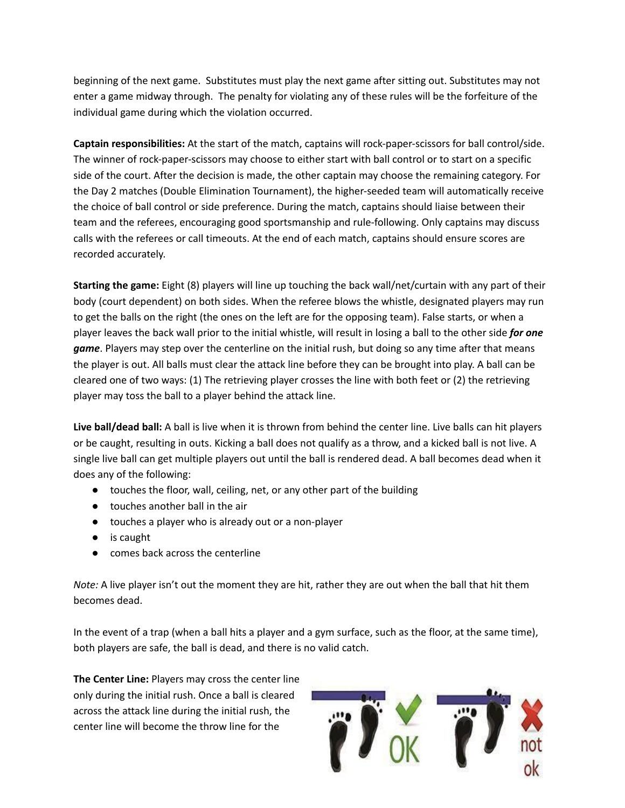beginning of the next game. Substitutes must play the next game after sitting out. Substitutes may not enter a game midway through. The penalty for violating any of these rules will be the forfeiture of the individual game during which the violation occurred.

**Captain responsibilities:** At the start of the match, captains will rock-paper-scissors for ball control/side. The winner of rock-paper-scissors may choose to either start with ball control or to start on a specific side of the court. After the decision is made, the other captain may choose the remaining category. For the Day 2 matches (Double Elimination Tournament), the higher-seeded team will automatically receive the choice of ball control or side preference. During the match, captains should liaise between their team and the referees, encouraging good sportsmanship and rule-following. Only captains may discuss calls with the referees or call timeouts. At the end of each match, captains should ensure scores are recorded accurately.

**Starting the game:** Eight (8) players will line up touching the back wall/net/curtain with any part of their body (court dependent) on both sides. When the referee blows the whistle, designated players may run to get the balls on the right (the ones on the left are for the opposing team). False starts, or when a player leaves the back wall prior to the initial whistle, will result in losing a ball to the other side *for one game*. Players may step over the centerline on the initial rush, but doing so any time after that means the player is out. All balls must clear the attack line before they can be brought into play. A ball can be cleared one of two ways: (1) The retrieving player crosses the line with both feet or (2) the retrieving player may toss the ball to a player behind the attack line.

**Live ball/dead ball:** A ball is live when it is thrown from behind the center line. Live balls can hit players or be caught, resulting in outs. Kicking a ball does not qualify as a throw, and a kicked ball is not live. A single live ball can get multiple players out until the ball is rendered dead. A ball becomes dead when it does any of the following:

- touches the floor, wall, ceiling, net, or any other part of the building
- touches another ball in the air
- touches a player who is already out or a non-player
- is caught
- comes back across the centerline

*Note:* A live player isn't out the moment they are hit, rather they are out when the ball that hit them becomes dead.

In the event of a trap (when a ball hits a player and a gym surface, such as the floor, at the same time), both players are safe, the ball is dead, and there is no valid catch.

**The Center Line:** Players may cross the center line only during the initial rush. Once a ball is cleared across the attack line during the initial rush, the center line will become the throw line for the

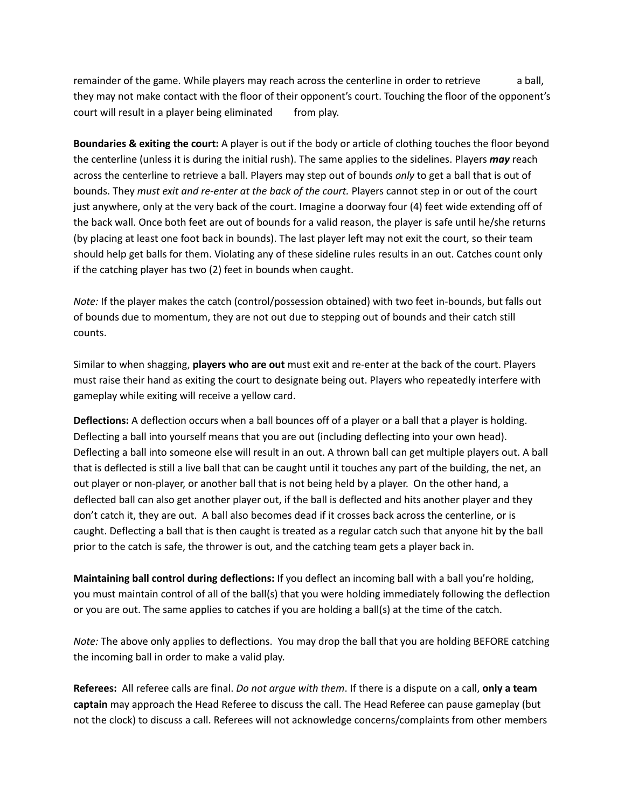remainder of the game. While players may reach across the centerline in order to retrieve a ball, they may not make contact with the floor of their opponent's court. Touching the floor of the opponent's court will result in a player being eliminated from play.

**Boundaries & exiting the court:** A player is out if the body or article of clothing touches the floor beyond the centerline (unless it is during the initial rush). The same applies to the sidelines. Players *may* reach across the centerline to retrieve a ball. Players may step out of bounds *only* to get a ball that is out of bounds. They *must exit and re-enter at the back of the court.* Players cannot step in or out of the court just anywhere, only at the very back of the court. Imagine a doorway four (4) feet wide extending off of the back wall. Once both feet are out of bounds for a valid reason, the player is safe until he/she returns (by placing at least one foot back in bounds). The last player left may not exit the court, so their team should help get balls for them. Violating any of these sideline rules results in an out. Catches count only if the catching player has two (2) feet in bounds when caught.

*Note:* If the player makes the catch (control/possession obtained) with two feet in-bounds, but falls out of bounds due to momentum, they are not out due to stepping out of bounds and their catch still counts.

Similar to when shagging, **players who are out** must exit and re-enter at the back of the court. Players must raise their hand as exiting the court to designate being out. Players who repeatedly interfere with gameplay while exiting will receive a yellow card.

**Deflections:** A deflection occurs when a ball bounces off of a player or a ball that a player is holding. Deflecting a ball into yourself means that you are out (including deflecting into your own head). Deflecting a ball into someone else will result in an out. A thrown ball can get multiple players out. A ball that is deflected is still a live ball that can be caught until it touches any part of the building, the net, an out player or non-player, or another ball that is not being held by a player. On the other hand, a deflected ball can also get another player out, if the ball is deflected and hits another player and they don't catch it, they are out. A ball also becomes dead if it crosses back across the centerline, or is caught. Deflecting a ball that is then caught is treated as a regular catch such that anyone hit by the ball prior to the catch is safe, the thrower is out, and the catching team gets a player back in.

**Maintaining ball control during deflections:** If you deflect an incoming ball with a ball you're holding, you must maintain control of all of the ball(s) that you were holding immediately following the deflection or you are out. The same applies to catches if you are holding a ball(s) at the time of the catch.

*Note:* The above only applies to deflections. You may drop the ball that you are holding BEFORE catching the incoming ball in order to make a valid play.

**Referees:** All referee calls are final. *Do not argue with them*. If there is a dispute on a call, **only a team captain** may approach the Head Referee to discuss the call. The Head Referee can pause gameplay (but not the clock) to discuss a call. Referees will not acknowledge concerns/complaints from other members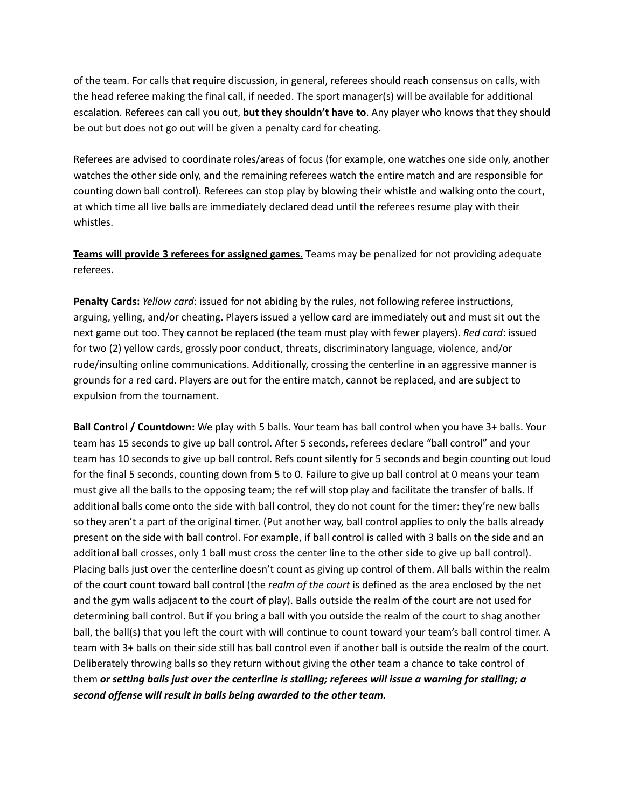of the team. For calls that require discussion, in general, referees should reach consensus on calls, with the head referee making the final call, if needed. The sport manager(s) will be available for additional escalation. Referees can call you out, **but they shouldn't have to**. Any player who knows that they should be out but does not go out will be given a penalty card for cheating.

Referees are advised to coordinate roles/areas of focus (for example, one watches one side only, another watches the other side only, and the remaining referees watch the entire match and are responsible for counting down ball control). Referees can stop play by blowing their whistle and walking onto the court, at which time all live balls are immediately declared dead until the referees resume play with their whistles.

**Teams will provide 3 referees for assigned games.** Teams may be penalized for not providing adequate referees.

**Penalty Cards:** *Yellow card*: issued for not abiding by the rules, not following referee instructions, arguing, yelling, and/or cheating. Players issued a yellow card are immediately out and must sit out the next game out too. They cannot be replaced (the team must play with fewer players). *Red card*: issued for two (2) yellow cards, grossly poor conduct, threats, discriminatory language, violence, and/or rude/insulting online communications. Additionally, crossing the centerline in an aggressive manner is grounds for a red card. Players are out for the entire match, cannot be replaced, and are subject to expulsion from the tournament.

**Ball Control / Countdown:** We play with 5 balls. Your team has ball control when you have 3+ balls. Your team has 15 seconds to give up ball control. After 5 seconds, referees declare "ball control" and your team has 10 seconds to give up ball control. Refs count silently for 5 seconds and begin counting out loud for the final 5 seconds, counting down from 5 to 0. Failure to give up ball control at 0 means your team must give all the balls to the opposing team; the ref will stop play and facilitate the transfer of balls. If additional balls come onto the side with ball control, they do not count for the timer: they're new balls so they aren't a part of the original timer. (Put another way, ball control applies to only the balls already present on the side with ball control. For example, if ball control is called with 3 balls on the side and an additional ball crosses, only 1 ball must cross the center line to the other side to give up ball control). Placing balls just over the centerline doesn't count as giving up control of them. All balls within the realm of the court count toward ball control (the *realm of the court* is defined as the area enclosed by the net and the gym walls adjacent to the court of play). Balls outside the realm of the court are not used for determining ball control. But if you bring a ball with you outside the realm of the court to shag another ball, the ball(s) that you left the court with will continue to count toward your team's ball control timer. A team with 3+ balls on their side still has ball control even if another ball is outside the realm of the court. Deliberately throwing balls so they return without giving the other team a chance to take control of them *or setting balls just over the centerline is stalling; referees will issue a warning for stalling; a second offense will result in balls being awarded to the other team.*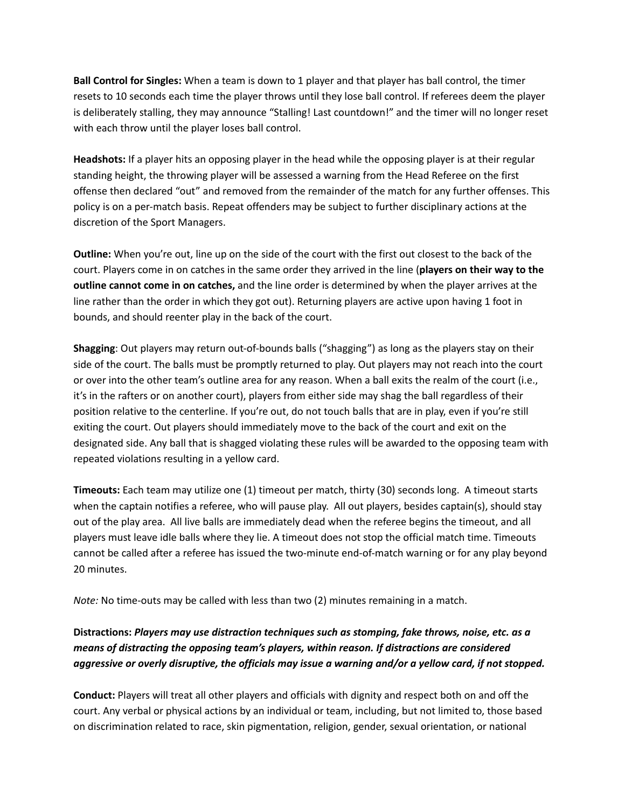**Ball Control for Singles:** When a team is down to 1 player and that player has ball control, the timer resets to 10 seconds each time the player throws until they lose ball control. If referees deem the player is deliberately stalling, they may announce "Stalling! Last countdown!" and the timer will no longer reset with each throw until the player loses ball control.

**Headshots:** If a player hits an opposing player in the head while the opposing player is at their regular standing height, the throwing player will be assessed a warning from the Head Referee on the first offense then declared "out" and removed from the remainder of the match for any further offenses. This policy is on a per-match basis. Repeat offenders may be subject to further disciplinary actions at the discretion of the Sport Managers.

**Outline:** When you're out, line up on the side of the court with the first out closest to the back of the court. Players come in on catches in the same order they arrived in the line (**players on their way to the outline cannot come in on catches,** and the line order is determined by when the player arrives at the line rather than the order in which they got out). Returning players are active upon having 1 foot in bounds, and should reenter play in the back of the court.

**Shagging**: Out players may return out-of-bounds balls ("shagging") as long as the players stay on their side of the court. The balls must be promptly returned to play. Out players may not reach into the court or over into the other team's outline area for any reason. When a ball exits the realm of the court (i.e., it's in the rafters or on another court), players from either side may shag the ball regardless of their position relative to the centerline. If you're out, do not touch balls that are in play, even if you're still exiting the court. Out players should immediately move to the back of the court and exit on the designated side. Any ball that is shagged violating these rules will be awarded to the opposing team with repeated violations resulting in a yellow card.

**Timeouts:** Each team may utilize one (1) timeout per match, thirty (30) seconds long. A timeout starts when the captain notifies a referee, who will pause play. All out players, besides captain(s), should stay out of the play area. All live balls are immediately dead when the referee begins the timeout, and all players must leave idle balls where they lie. A timeout does not stop the official match time. Timeouts cannot be called after a referee has issued the two-minute end-of-match warning or for any play beyond 20 minutes.

*Note:* No time-outs may be called with less than two (2) minutes remaining in a match.

## **Distractions:** *Players may use distraction techniques such as stomping, fake throws, noise, etc. as a means of distracting the opposing team's players, within reason. If distractions are considered aggressive or overly disruptive, the officials may issue a warning and/or a yellow card, if not stopped.*

**Conduct:** Players will treat all other players and officials with dignity and respect both on and off the court. Any verbal or physical actions by an individual or team, including, but not limited to, those based on discrimination related to race, skin pigmentation, religion, gender, sexual orientation, or national